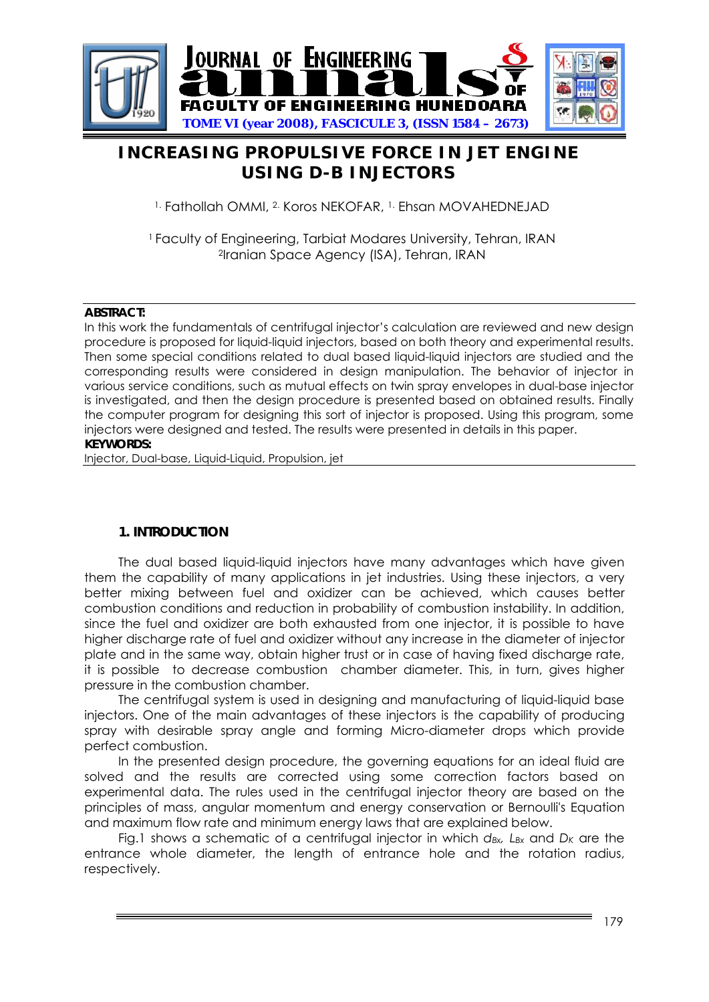

# **INCREASING PROPULSIVE FORCE IN JET ENGINE USING D-B INJECTORS**

1. Fathollah OMMI, 2. Koros NEKOFAR, 1. Ehsan MOVAHEDNEJAD

<sup>1</sup> Faculty of Engineering, Tarbiat Modares University, Tehran, IRAN 2Iranian Space Agency (ISA), Tehran, IRAN

### **ABSTRACT:**

In this work the fundamentals of centrifugal injector's calculation are reviewed and new design procedure is proposed for liquid-liquid injectors, based on both theory and experimental results. Then some special conditions related to dual based liquid-liquid injectors are studied and the corresponding results were considered in design manipulation. The behavior of injector in various service conditions, such as mutual effects on twin spray envelopes in dual-base injector is investigated, and then the design procedure is presented based on obtained results. Finally the computer program for designing this sort of injector is proposed. Using this program, some injectors were designed and tested. The results were presented in details in this paper.

### **KEYWORDS:**

Injector, Dual-base, Liquid-Liquid, Propulsion, jet

### **1. INTRODUCTION**

The dual based liquid-liquid injectors have many advantages which have given them the capability of many applications in jet industries. Using these injectors, a very better mixing between fuel and oxidizer can be achieved, which causes better combustion conditions and reduction in probability of combustion instability. In addition, since the fuel and oxidizer are both exhausted from one injector, it is possible to have higher discharge rate of fuel and oxidizer without any increase in the diameter of injector plate and in the same way, obtain higher trust or in case of having fixed discharge rate, it is possible to decrease combustion chamber diameter. This, in turn, gives higher pressure in the combustion chamber.

The centrifugal system is used in designing and manufacturing of liquid-liquid base injectors. One of the main advantages of these injectors is the capability of producing spray with desirable spray angle and forming Micro-diameter drops which provide perfect combustion.

In the presented design procedure, the governing equations for an ideal fluid are solved and the results are corrected using some correction factors based on experimental data. The rules used in the centrifugal injector theory are based on the principles of mass, angular momentum and energy conservation or Bernoulli's Equation and maximum flow rate and minimum energy laws that are explained below.

Fig.1 shows a schematic of a centrifugal injector in which  $d_{Bx}$ , L<sub>Bx</sub> and D<sub>K</sub> are the entrance whole diameter, the length of entrance hole and the rotation radius, respectively.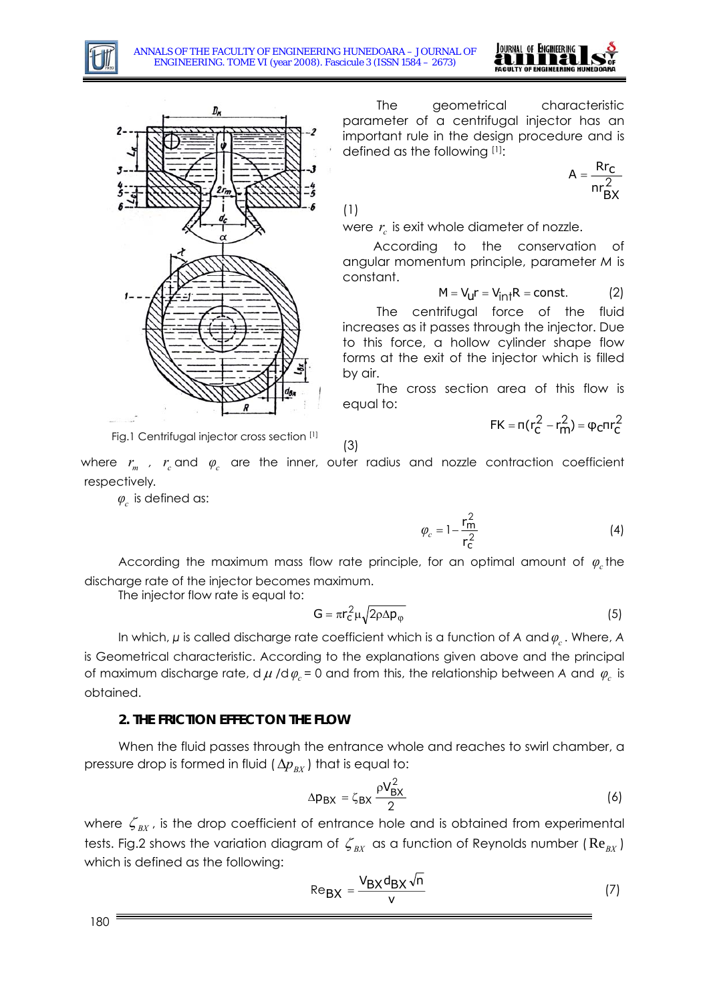



The geometrical characteristic parameter of a centrifugal injector has an important rule in the design procedure and is defined as the following [1]:

$$
A = \frac{Rr_C}{nr_{BX}^2}
$$

(1)

were  $r_c$  is exit whole diameter of nozzle.

According to the conservation of angular momentum principle, parameter *M* is constant.

$$
M = V_{\mathsf{U}} r = V_{\mathsf{int}} R = \text{const.} \tag{2}
$$

The centrifugal force of the fluid increases as it passes through the injector. Due to this force, a hollow cylinder shape flow forms at the exit of the injector which is filled by air.

The cross section area of this flow is equal to:

$$
FK = \pi (r_C^2 - r_m^2) = \phi_C \pi r_C^2
$$

Fig.1 Centrifugal injector cross section [1]

(3)

where  $r_m$  ,  $r_c$  and  $\varphi_c$  are the inner, outer radius and nozzle contraction coefficient respectively*.*

 $\varphi_c$  is defined as:

 $\varphi_c = 1 - \frac{r}{r^2}$ 2 1 c m r  $= 1 - \frac{r_m^2}{2}$  (4)

According the maximum mass flow rate principle, for an optimal amount of  $\varphi_c$  the discharge rate of the injector becomes maximum.

The injector flow rate is equal to:

$$
G = \pi r_c^2 \mu \sqrt{2\rho \Delta p_{\varphi}}
$$
 (5)

In which,  $\mu$  is called discharge rate coefficient which is a function of A and  $\varphi_c$  . Where, A is Geometrical characteristic. According to the explanations given above and the principal of maximum discharge rate, d  $\mu$  /d  $\varphi_c$  = 0 and from this, the relationship between A and  $\varphi_c$  is obtained.

### **2. THE FRICTION EFFECT ON THE FLOW**

When the fluid passes through the entrance whole and reaches to swirl chamber, a pressure drop is formed in fluid  $(\Delta p_{\scriptscriptstyle{RX}})$  that is equal to:

$$
\Delta p_{\text{BX}} = \zeta_{\text{BX}} \frac{\rho V_{\text{BX}}^2}{2} \tag{6}
$$

where  $\zeta_{\text{BX}}$ , is the drop coefficient of entrance hole and is obtained from experimental tests. Fig.2 shows the variation diagram of  $\zeta_{\scriptscriptstyle BX}$  as a function of Reynolds number ( $\text{Re}_{\scriptscriptstyle BX}$ ) which is defined as the following:

$$
Re_{BX} = \frac{V_{BX} d_{BX} \sqrt{n}}{v}
$$
 (7)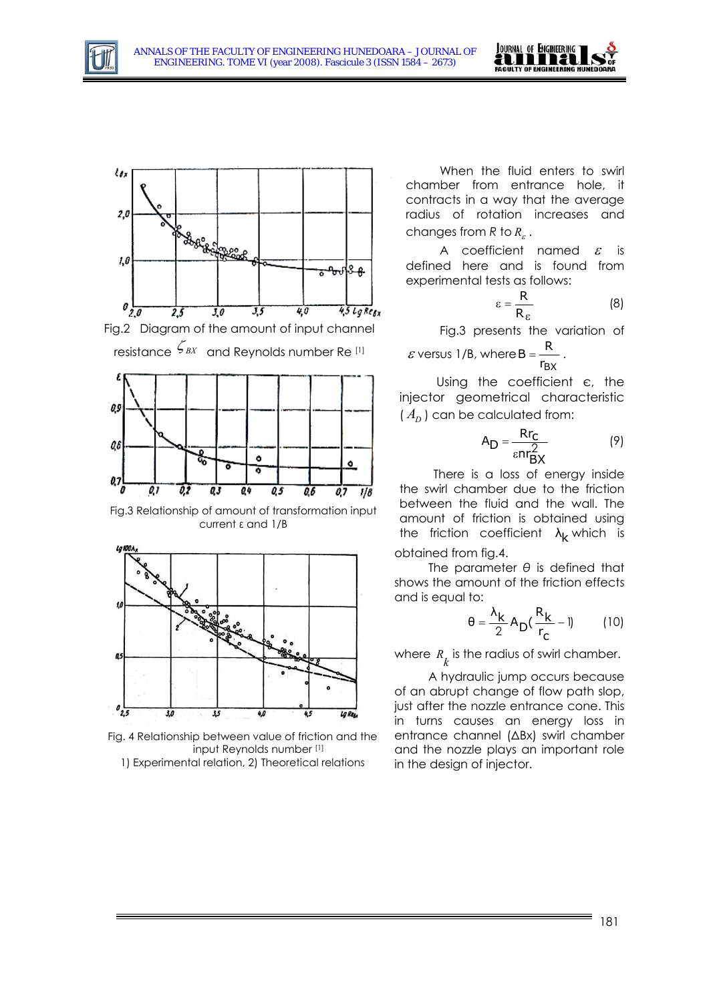







Fig.3 Relationship of amount of transformation input current ε and 1/B



Fig. 4 Relationship between value of friction and the input Reynolds number [1]

1) Experimental relation, 2) Theoretical relations

When the fluid enters to swirl chamber from entrance hole, it contracts in a way that the average radius of rotation increases and changes from  $R$  to  $R_c$ .

A coefficient named  $\varepsilon$  is defined here and is found from experimental tests as follows:

$$
\varepsilon = \frac{R}{R_{\varepsilon}} \tag{8}
$$

Fig.3 presents the variation of

 $\varepsilon$  versus 1/B, where  $B = \frac{R}{r_{BX}}$ 

Using the coefficient є, the injector geometrical characteristic  $(A_n)$  can be calculated from:

$$
A_D = \frac{Rr_C}{\varepsilon n r_{BX}^2}
$$
 (9)

the friction coefficient  $\lambda_{\mathsf{k}}$  which is There is a loss of energy inside the swirl chamber due to the friction between the fluid and the wall. The amount of friction is obtained using obtained from fig.4.

The parameter *θ* is defined that shows the amount of the friction effects and is equal to:

$$
\theta = \frac{\lambda_{\mathbf{k}}}{2} A_{\mathbf{D}} (\frac{\mathbf{R}_{\mathbf{k}}}{r_{\mathbf{C}}} - 1) \tag{10}
$$

where  $R_k$  is the radius of swirl chamber.

A hydraulic jump occurs because of an abrupt change of flow path slop, just after the nozzle entrance cone. This in turns causes an energy loss in entrance channel (ΔBx) swirl chamber and the nozzle plays an important role in the design of injector.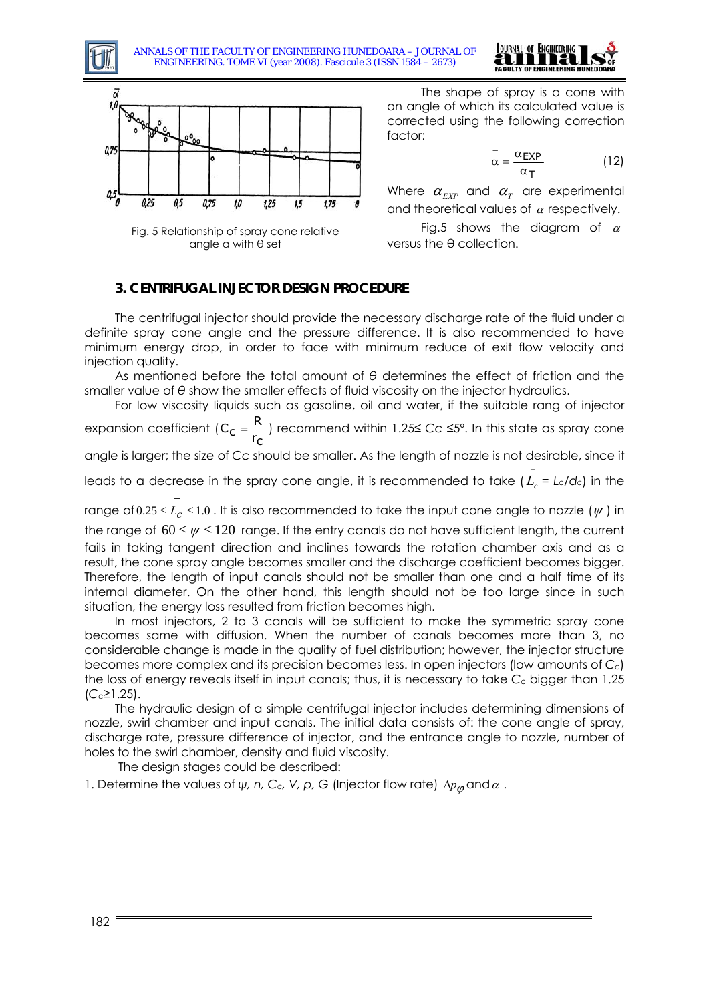

ANNALS OF THE FACULTY OF ENGINEERING HUNEDOARA – JOURNAL OF ENGINEERING. TOME VI (year 2008). Fascicule 3 (ISSN 1584 – 2673)



Fig. 5 Relationship of spray cone relative angle α with θ set

The shape of spray is a cone with an angle of which its calculated value is corrected using the following correction factor:

$$
\bar{\alpha} = \frac{\alpha_{\text{EXP}}}{\alpha_{\text{T}}}
$$
 (12)

JOURNAL OF ENGINEERING **FACULTY OF ENGINEE** 

Where  $\alpha_{\text{FYP}}$  and  $\alpha_{\text{T}}$  are experimental and theoretical values of  $\alpha$  respectively.

Fig.5 shows the diagram of  $\alpha$ versus the θ collection.

## **3. CENTRIFUGAL INJECTOR DESIGN PROCEDURE**

The centrifugal injector should provide the necessary discharge rate of the fluid under a definite spray cone angle and the pressure difference. It is also recommended to have minimum energy drop, in order to face with minimum reduce of exit flow velocity and injection quality.

As mentioned before the total amount of *θ* determines the effect of friction and the smaller value of *θ* show the smaller effects of fluid viscosity on the injector hydraulics.

For low viscosity liquids such as gasoline, oil and water, if the suitable rang of injector

expansion coefficient  $(C_c = \frac{R}{r_c})$  recommend within 1.25≤ *Cc* ≤5°. In this state as spray cone

angle is larger; the size of *Cc* should be smaller. As the length of nozzle is not desirable, since it

leads to a decrease in the spray cone angle, it is recommended to take ( $L_\varepsilon$  =  $L$  $\overline{\tilde{L_c}}$  = Lc/dc) in the

range of 0.25 ≤  $L_c$  ≤ 1.0 . It is also recommended to take the input cone angle to nozzle ( −  $\leq$   $L_{\mathcal{C}}$   $\leq$  1.0 . It is also recommended to take the input cone angle to nozzle ( $\psi$  ) in the range of  $60 \leq \psi \leq 120$  range. If the entry canals do not have sufficient length, the current fails in taking tangent direction and inclines towards the rotation chamber axis and as a result, the cone spray angle becomes smaller and the discharge coefficient becomes bigger. Therefore, the length of input canals should not be smaller than one and a half time of its internal diameter. On the other hand, this length should not be too large since in such situation, the energy loss resulted from friction becomes high.

In most injectors, 2 to 3 canals will be sufficient to make the symmetric spray cone becomes same with diffusion. When the number of canals becomes more than 3, no considerable change is made in the quality of fuel distribution; however, the injector structure becomes more complex and its precision becomes less. In open injectors (low amounts of *Cc*) the loss of energy reveals itself in input canals; thus, it is necessary to take *Cc* bigger than 1.25 (*Cc*≥1.25).

The hydraulic design of a simple centrifugal injector includes determining dimensions of nozzle, swirl chamber and input canals. The initial data consists of: the cone angle of spray, discharge rate, pressure difference of injector, and the entrance angle to nozzle, number of holes to the swirl chamber, density and fluid viscosity.

The design stages could be described:

1. Determine the values of *ψ, n, C<sub>c</sub>, V, ρ, G* (Injector flow rate)  $\Delta p_{\varphi}$  and  $\alpha$ .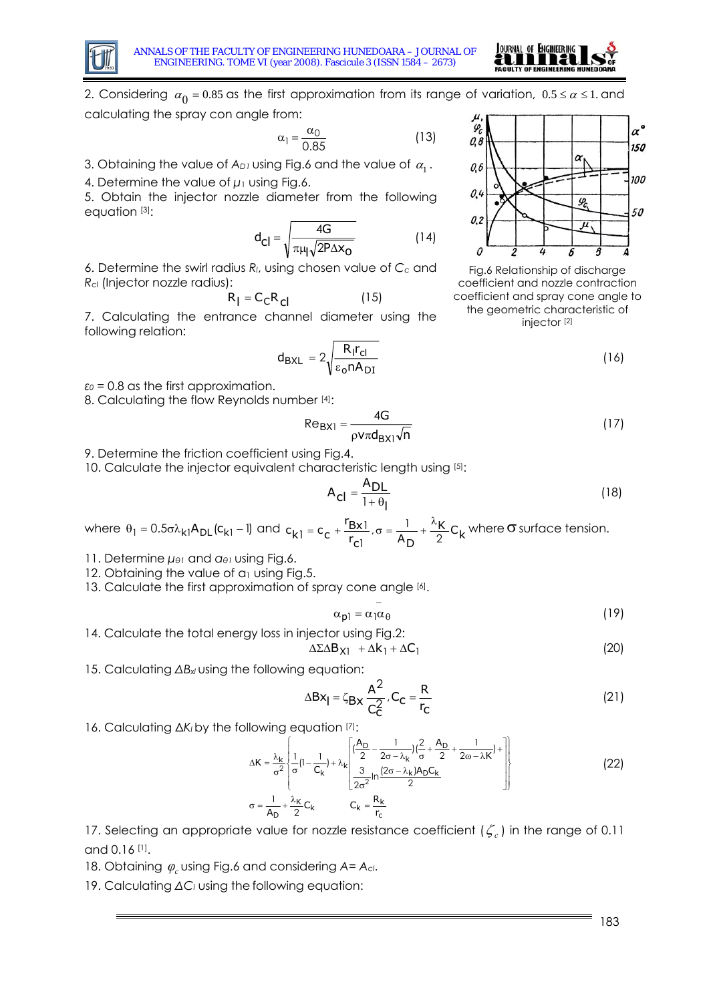



2. Considering  $\alpha_0 = 0.85$  as the first approximation from its range of variation,  $0.5 \le \alpha \le 1$ . and calculating the spray con angle from:

$$
\alpha_1 = \frac{\alpha_0}{0.85} \tag{13}
$$

3. Obtaining the value of  $A_{D1}$  using Fig.6 and the value of  $\alpha_1$ .

4. Determine the value of *μ*1 using Fig.6.

5. Obtain the injector nozzle diameter from the following equation [3]:

$$
d_{Cl} = \sqrt{\frac{4G}{\pi \mu \sqrt{2P\Delta x_{O}}}}
$$
 (14)

6. Determine the swirl radius *Rl*, using chosen value of *Cc* and *R*<sub>cl</sub> (Injector nozzle radius):

$$
R_{\parallel} = C_{\text{C}} R_{\text{C}} \tag{15}
$$

7. Calculating the entrance channel diameter using the following relation:

$$
d_{\text{BXL}} = 2\sqrt{\frac{R_1 r_{\text{cl}}}{\epsilon_0 n A_{\text{DI}}}}
$$
 (16)

 $\varepsilon_0$  = 0.8 as the first approximation.

8. Calculating the flow Reynolds number [4]:

$$
Re_{\text{BX1}} = \frac{4G}{\rho v \pi d_{\text{BX1}} \sqrt{n}} \tag{17}
$$

9. Determine the friction coefficient using Fig.4.

10. Calculate the injector equivalent characteristic length using [5]:

$$
A_{\text{cl}} = \frac{A_{\text{DL}}}{1 + \theta_{\text{I}}}
$$
 (18)

where  $\theta_1 = 0.5\sigma\lambda_{k1}A_{DL}(c_{k1} - 1)$  and  $c_{k1} = c_c + \frac{r_{Bx1}}{r_{C1}}, \sigma = \frac{1}{A_D} + \frac{\lambda_{K}}{2}C_k$  $c_{k1} = c_c + \frac{r_{Bx1}}{r_{c1}}$ ,  $\sigma = \frac{1}{A_D} + \frac{\lambda_F}{2}$ 1  $c_1 = c_c + \frac{F_{Bx1}}{r}$ =  $c_e + \frac{r_{Bx1}}{r}$ ,  $\sigma = \frac{1}{r} + \frac{\lambda_{K}}{r}$  C<sub>k</sub> where  $\sigma$  surface tension.

−

11. Determine *μθ1* and *αθ<sup>1</sup>* using Fig.6.

12. Obtaining the value of α<sub>1</sub> using Fig.5.

13. Calculate the first approximation of spray cone angle [6].

$$
\alpha_{\mathsf{p}1} = \alpha_1 \alpha_{\theta} \tag{19}
$$

14. Calculate the total energy loss in injector using Fig.2:

$$
\Delta \Sigma \Delta B_{X1} + \Delta k_1 + \Delta C_1 \tag{20}
$$

15. Calculating ΔB<sub>xl</sub> using the following equation:

$$
\Delta B x_{\parallel} = \zeta_{Bx} \frac{A^2}{C_C^2} \cdot C_C = \frac{R}{r_C}
$$
 (21)

16. Calculating ΔK<sub>l</sub> by the following equation [7]:

$$
\Delta K = \frac{\lambda_{k}}{\sigma^{2}} \left\{ \frac{1}{\sigma} \left(1 - \frac{1}{C_{k}}\right) + \lambda_{k} \left[\frac{\left(\frac{A_{D}}{2} - \frac{1}{2\sigma - \lambda_{k}}\right)\left(\frac{2}{\sigma} + \frac{A_{D}}{2} + \frac{1}{2\omega - \lambda_{k}}\right) + \frac{1}{\sigma^{2}}}{\frac{3}{2\sigma^{2}}\ln\frac{(2\sigma - \lambda_{k})A_{D}C_{k}}{2}}\right] \right\}
$$
\n
$$
\sigma = \frac{1}{A_{D}} + \frac{\lambda_{k}}{2}C_{k} \qquad C_{k} = \frac{R_{k}}{r_{c}}
$$
\n(22)

17. Selecting an appropriate value for nozzle resistance coefficient (ζ *<sup>c</sup>* ) in the range of 0.11 and 0.16 [1].

18. Obtaining *φ<sup>c</sup>* using Fig.6 and considering *A= Acl*.

19. Calculating ΔC<sub>l</sub> using the following equation:



Fig.6 Relationship of discharge coefficient and nozzle contraction coefficient and spray cone angle to the geometric characteristic of injector [2]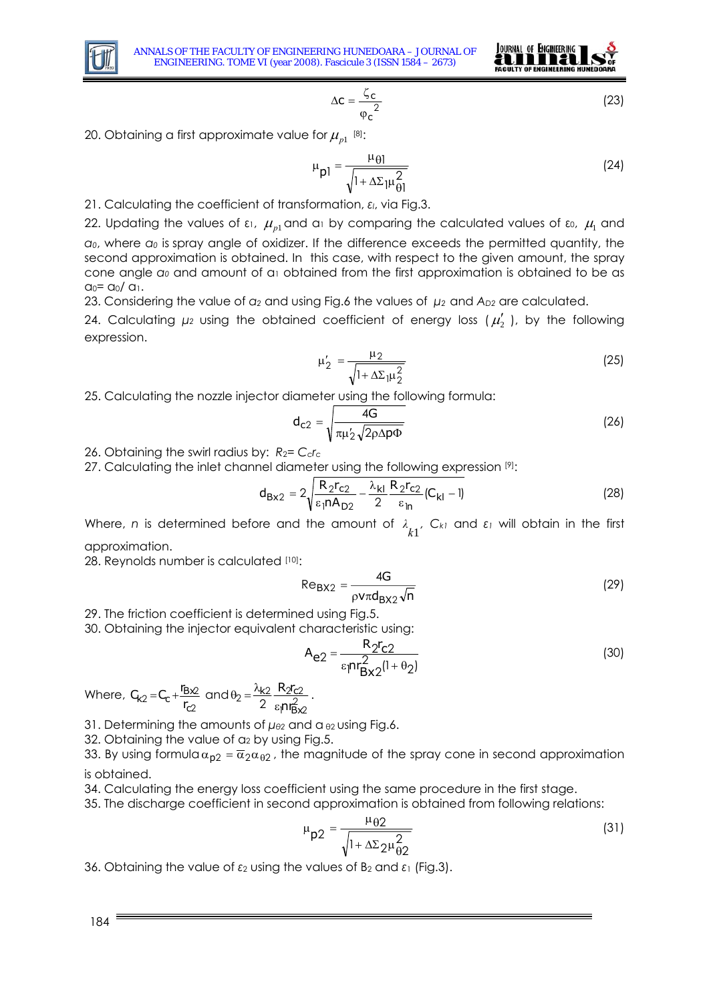



$$
\Delta \mathbf{C} = \frac{\zeta_{\mathbf{C}}}{\varphi_{\mathbf{C}}^2} \tag{23}
$$

20. Obtaining a first approximate value for  $\mu_{p1}$ <sup>[8]</sup>:

$$
\mu_{\mathsf{pl}} = \frac{\mu_{\mathsf{\Theta}}}{\sqrt{1 + \Delta \Sigma_{\mathsf{pl}} \frac{2}{\Theta_{\mathsf{pl}}}}}
$$
(24)

21. Calculating the coefficient of transformation, *εl*, via Fig.3.

22. Updating the values of ε1,  $\mu_{\scriptscriptstyle{p1}}$  and a1 by comparing the calculated values of ε0,  $\mu_{\scriptscriptstyle\rm I}$  and *α <sup>0</sup>*, where *α<sup>0</sup>* is spray angle of oxidizer. If the difference exceeds the permitted quantity, the second approximation is obtained. In this case, with respect to the given amount, the spray cone angle *α0* and amount of α1 obtained from the first approximation is obtained to be as  $a_0 = a_0 / a_1$ .

23. Considering the value of *α2* and using Fig.6 the values of *μ2* and *AD2* are calculated.

24. Calculating  $\mu_2$  using the obtained coefficient of energy loss ( $\mu_2'$ ), by the following expression.

$$
\mu'_{2} = \frac{\mu_{2}}{\sqrt{1 + \Delta \Sigma_{1} \mu_{2}^{2}}}
$$
\n(25)

25. Calculating the nozzle injector diameter using the following formula:

$$
d_{c2} = \sqrt{\frac{4G}{\pi \mu'_2 \sqrt{2\rho \Delta p \Phi}}}
$$
 (26)

26. Obtaining the swirl radius by: *R*2= *Ccrc*

27. Calculating the inlet channel diameter using the following expression [9]:

$$
d_{Bx2} = 2\sqrt{\frac{R_2r_{c2}}{\epsilon_1nA_{D2}} - \frac{\lambda_{kl}}{2}\frac{R_2r_{c2}}{\epsilon_{ln}}(C_{kl} - l)}
$$
(28)

Where, *n* is determined before and the amount of  $\lambda_{k1}$ ,  $C_{k1}$  and  $\varepsilon_1$  will obtain in the first approximation.

28. Reynolds number is calculated [10]:

$$
Re_{\text{BX2}} = \frac{4G}{\rho v \pi d_{\text{BX2}} \sqrt{n}}
$$
 (29)

29. The friction coefficient is determined using Fig.5.

30. Obtaining the injector equivalent characteristic using:

$$
A_{e2} = \frac{R_2 r_{c2}}{\varepsilon_1 n r_{Bx2}^2 (1 + \theta_2)}
$$
 (30)

Where, 2  $2 = C_c + \frac{I_B x^2}{r_{C2}}$  $C_{k2} = C_c + \frac{r_{Bx2}}{r_{C2}}$  and  $\theta_2 = \frac{\lambda_{k2}}{2} \frac{R_2r_{C2}}{\varepsilon_1 r_{Bx2}^2}$  $b_2 = \frac{\lambda k_2}{2} \frac{R_2 r_{c2}}{\varepsilon_1 n_{Bx}^2}$ nr R<sub>2n</sub> ε  $\theta_2 = \frac{\lambda_{k2}}{2} \frac{R_2 r_{c2}}{r^2}$ .

31. Determining the amounts of *μθ2* and α <sup>θ</sup>2 using Fig.6.

32. Obtaining the value of a<sub>2</sub> by using Fig.5.

33. By using formula  $\alpha_{p2} = \overline{\alpha}_2 \alpha_{\theta 2}$ , the magnitude of the spray cone in second approximation is obtained.

34. Calculating the energy loss coefficient using the same procedure in the first stage.

35. The discharge coefficient in second approximation is obtained from following relations:

$$
\mu_{\mathsf{p}2} = \frac{\mu_{\theta 2}}{\sqrt{1 + \Delta \Sigma_2 \mu_{\theta 2}^2}}
$$
\n(31)

36. Obtaining the value of *ε*2 using the values of B2 and *ε*1 (Fig.3).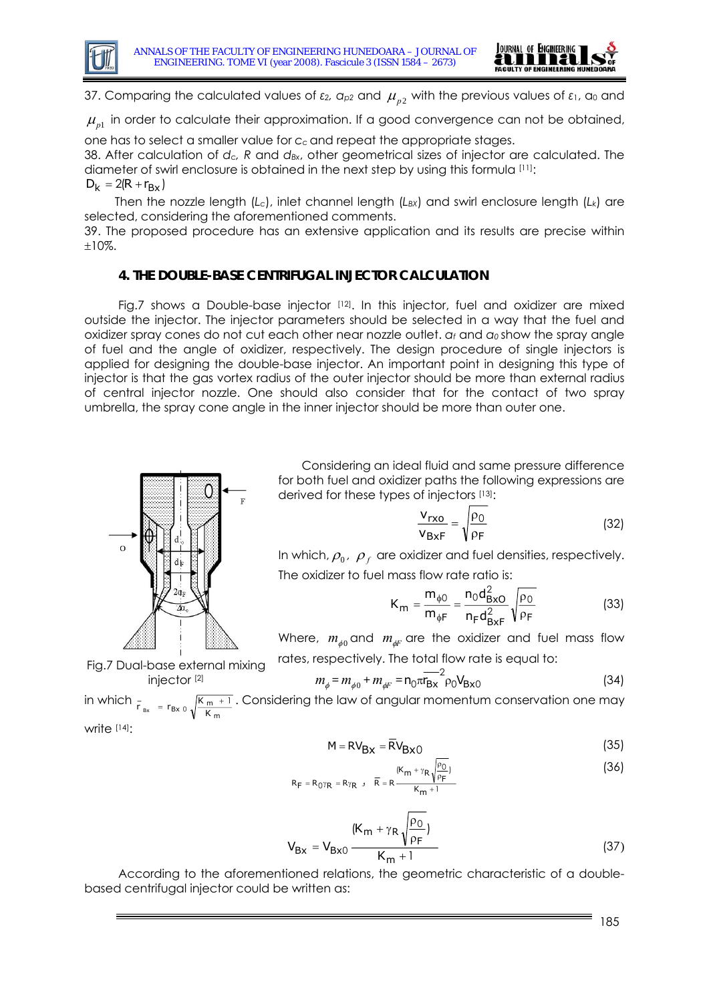



37. Comparing the calculated values of  $\varepsilon_2$ ,  $a_{p2}$  and  $\mu_{p2}$  with the previous values of  $\varepsilon_1$ ,  $a_0$  and

 $\mu_{_{p1}}$  in order to calculate their approximation. If a good convergence can not be obtained,

one has to select a smaller value for *c <sup>c</sup>* and repeat the appropriate stages.

38. After calculation of *dc, R* and *d<sub>Bx</sub>*, other geometrical sizes of injector are calculated. The diameter of swirl enclosure is obtained in the next step by using this formula [11]:  $D_k = 2(R + r_{Bx})$ 

Then the nozzle length (L<sub>c</sub>), inlet channel length (L<sub>BX</sub>) and swirl enclosure length (L<sub>k</sub>) are selected, considering the aforementioned comments.

39. The proposed procedure has an extensive application and its results are precise within ±10%.

## **4. THE DOUBLE-BASE CENTRIFUGAL INJECTOR CALCULATION**

Fig.7 shows a Double-base injector [12]. In this injector, fuel and oxidizer are mixed outside the injector. The injector parameters should be selected in a way that the fuel and oxidizer spray cones do not cut each other near nozzle outlet. *αf* and *α<sup>0</sup>* show the spray angle of fuel and the angle of oxidizer, respectively. The design procedure of single injectors is applied for designing the double-base injector. An important point in designing this type of injector is that the gas vortex radius of the outer injector should be more than external radius of central injector nozzle. One should also consider that for the contact of two spray umbrella, the spray cone angle in the inner injector should be more than outer one.



Considering an ideal fluid and same pressure difference for both fuel and oxidizer paths the following expressions are derived for these types of injectors [13]:

$$
\frac{\mathbf{v}_{\mathsf{rxo}}}{\mathbf{v}_{\mathsf{BxF}}} = \sqrt{\frac{\rho_0}{\rho_F}}
$$
(32)

In which,  $\rho_0$ ,  $\rho_f$  are oxidizer and fuel densities, respectively. The oxidizer to fuel mass flow rate ratio is:

$$
K_{m} = \frac{m_{\phi 0}}{m_{\phi F}} = \frac{n_{0}d_{B \times O}^{2}}{n_{F}d_{B \times F}^{2}} \sqrt{\frac{\rho_{0}}{\rho_{F}}}
$$
(33)

Where,  $m_{\phi 0}$  and  $m_{\phi F}$  are the oxidizer and fuel mass flow rates, respectively. The total flow rate is equal to:

Fig.7 Dual-base external mixing injector [2]

$$
m_{\phi} = m_{\phi 0} + m_{\phi F} = n_0 \pi_{Bx}^{-2} \rho_0 V_{Bx0}
$$
 (34)

in which  $F_{Bx} = r_{Bx} \sqrt{\frac{K_m + 1}{K_m}}$ . Considering the law of angular momentum conservation one may

write [14]:

$$
M = RV_{\text{Bx}} = \overline{RV}_{\text{Bx}0}
$$
 (35)

$$
R_{F} = R_{0} \gamma_{R} = R \gamma_{R} , \quad \overline{R} = R \frac{(K_{m} + \gamma_{R} \sqrt{\frac{\rho_{0}}{\rho_{F}}})}{K_{m} + 1}
$$
 (36)

$$
V_{Bx} = V_{Bx0} \frac{(K_m + \gamma_R \sqrt{\frac{\rho_0}{\rho_F}})}{K_m + 1}
$$
 (37)

According to the aforementioned relations, the geometric characteristic of a doublebased centrifugal injector could be written as: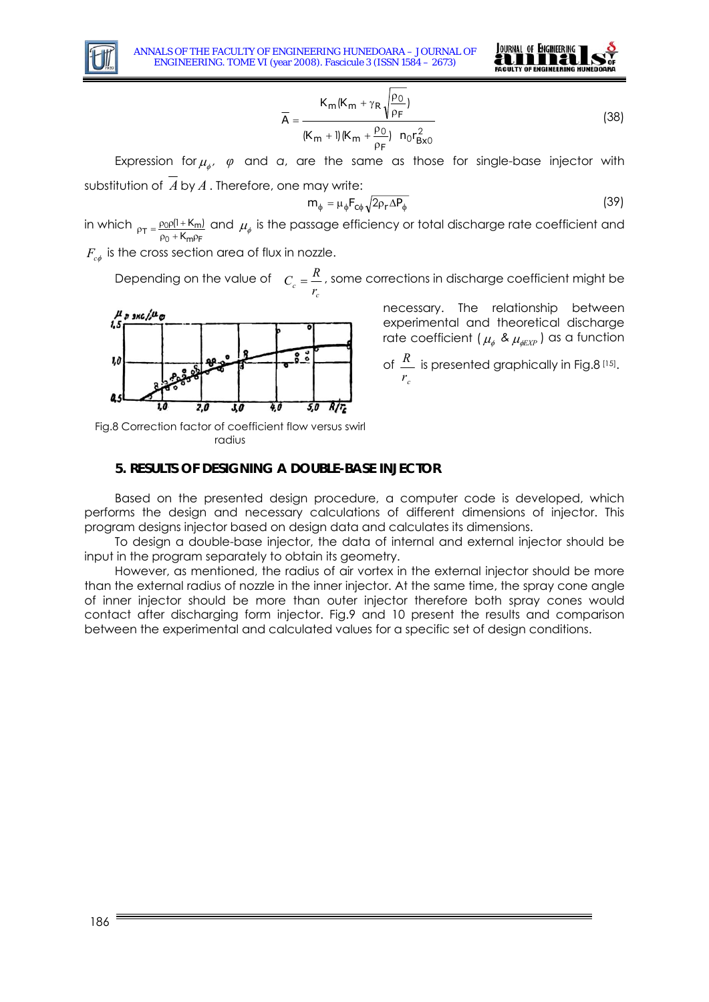



$$
\overline{A} = \frac{K_{m}(K_{m} + \gamma_{R}\sqrt{\frac{\rho_{0}}{\rho_{F}}})}{(K_{m} + 1)(K_{m} + \frac{\rho_{0}}{\rho_{F}}) n_{0}r_{Bxo}^{2}}
$$
(38)

Expression for  $\mu_{\phi}$ ,  $\varphi$  and *a*, are the same as those for single-base injector with substitution of *A* by *A* . Therefore, one may write:

$$
m_{\phi} = \mu_{\phi} F_{\phi} \sqrt{2 \rho_{\text{r}} \Delta P_{\phi}}
$$
 (39)

in which  $\tau = \frac{\rho_0 \rho (1 + K_m)}{\rho_0 + K_m \rho_F}$  $\rho_T = \frac{\rho_0 \rho (1 + K_n)}{\rho_0 + K_m \rho}$  $\frac{1}{20}$ (1+K<sub>m</sub>) and  $\mu_\phi$  is the passage efficiency or total discharge rate coefficient and<br><sub>0+</sub>K<sub>mPF</sub>

 $F_{c\phi}$  is the cross section area of flux in nozzle.

Depending on the value of  $C_c = \frac{r}{r}$ *c*  $C_c = \frac{R}{r}$ , some corrections in discharge coefficient might be



necessary. The relationship between experimental and theoretical discharge rate coefficient (  $\mu_{_\phi}$  &  $\mu_{_{\phi\!E\!X\!P}}$  ) as a function

of *c r*  $R \overline{\phantom{a}}$  is presented graphically in Fig.8 [15].

Fig.8 Correction factor of coefficient flow versus swirl radius

### **5. RESULTS OF DESIGNING A DOUBLE-BASE INJECTOR**

Based on the presented design procedure, a computer code is developed, which performs the design and necessary calculations of different dimensions of injector. This program designs injector based on design data and calculates its dimensions.

To design a double-base injector, the data of internal and external injector should be input in the program separately to obtain its geometry.

However, as mentioned, the radius of air vortex in the external injector should be more than the external radius of nozzle in the inner injector. At the same time, the spray cone angle of inner injector should be more than outer injector therefore both spray cones would contact after discharging form injector. Fig.9 and 10 present the results and comparison between the experimental and calculated values for a specific set of design conditions.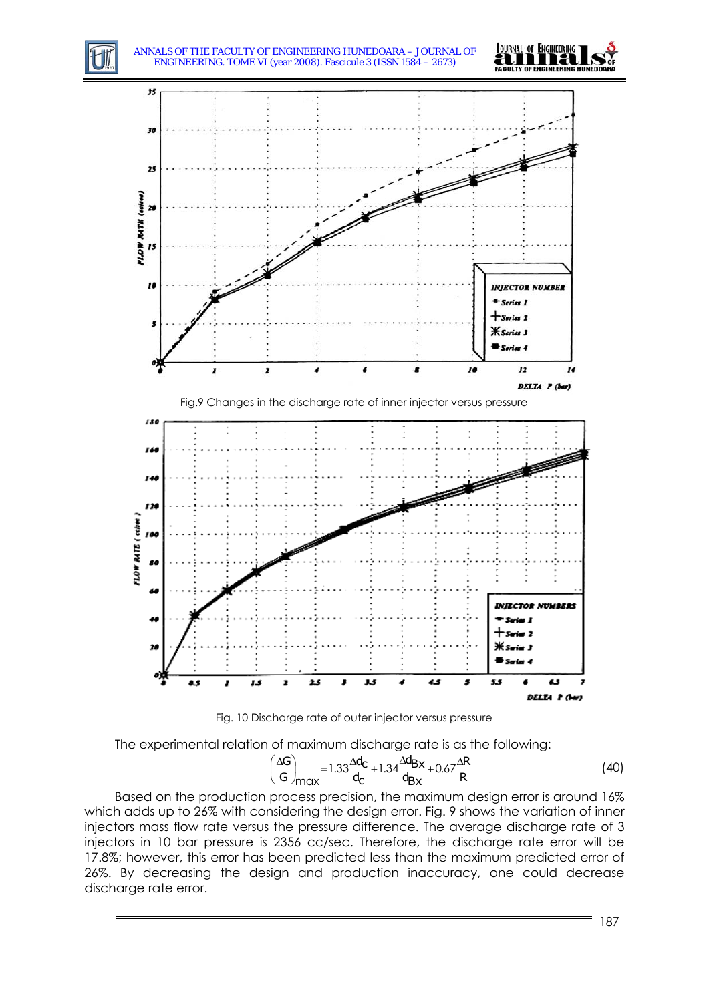



Fig. 10 Discharge rate of outer injector versus pressure

The experimental relation of maximum discharge rate is as the following:

$$
\left(\frac{\Delta G}{G}\right)_{\text{max}} = 1.33 \frac{\Delta d_C}{d_C} + 1.34 \frac{\Delta d_{\text{Bx}}}{d_{\text{Bx}}} + 0.67 \frac{\Delta R}{R}
$$
(40)

Based on the production process precision, the maximum design error is around 16% which adds up to 26% with considering the design error. Fig. 9 shows the variation of inner injectors mass flow rate versus the pressure difference. The average discharge rate of 3 injectors in 10 bar pressure is 2356 cc/sec. Therefore, the discharge rate error will be 17.8%; however, this error has been predicted less than the maximum predicted error of 26%. By decreasing the design and production inaccuracy, one could decrease discharge rate error.